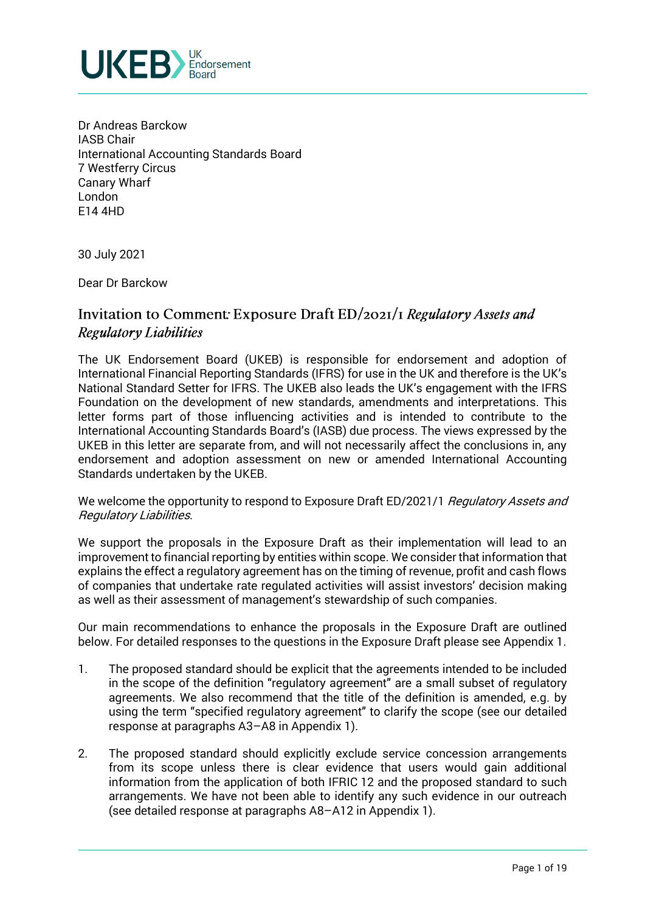

Dr Andreas Barckow IASB Chair International Accounting Standards Board 7 Westferry Circus Canary Wharf London E14 4HD

30 July 2021

Dear Dr Barckow

## Invitation to Comment: Exposure Draft  $ED/2O2I/I$  Regulatory Assets and **Regulatory Liabilities**

The UK Endorsement Board (UKEB) is responsible for endorsement and adoption of International Financial Reporting Standards (IFRS) for use in the UK and therefore is the UK's National Standard Setter for IFRS. The UKEB also leads the UK's engagement with the IFRS Foundation on the development of new standards, amendments and interpretations. This letter forms part of those influencing activities and is intended to contribute to the International Accounting Standards Board's (IASB) due process. The views expressed by the UKEB in this letter are separate from, and will not necessarily affect the conclusions in, any endorsement and adoption assessment on new or amended International Accounting Standards undertaken by the UKEB.

We welcome the opportunity to respond to Exposure Draft ED/2021/1 Regulatory Assets and Regulatory Liabilities.

We support the proposals in the Exposure Draft as their implementation will lead to an improvement to financial reporting by entities within scope. We consider that information that explains the effect a regulatory agreement has on the timing of revenue, profit and cash flows of companies that undertake rate regulated activities will assist investors' decision making as well as their assessment of management's stewardship of such companies.

Our main recommendations to enhance the proposals in the Exposure Draft are outlined below. For detailed responses to the questions in the Exposure Draft please see Appendix 1.

- 1. The proposed standard should be explicit that the agreements intended to be included in the scope of the definition "regulatory agreement" are a small subset of regulatory agreements. We also recommend that the title of the definition is amended, e.g. by using the term "specified regulatory agreement" to clarify the scope (see our detailed response at paragraphs A3–A8 in Appendix 1).
- 2. The proposed standard should explicitly exclude service concession arrangements from its scope unless there is clear evidence that users would gain additional information from the application of both IFRIC 12 and the proposed standard to such arrangements. We have not been able to identify any such evidence in our outreach (see detailed response at paragraphs A8–A12 in Appendix 1).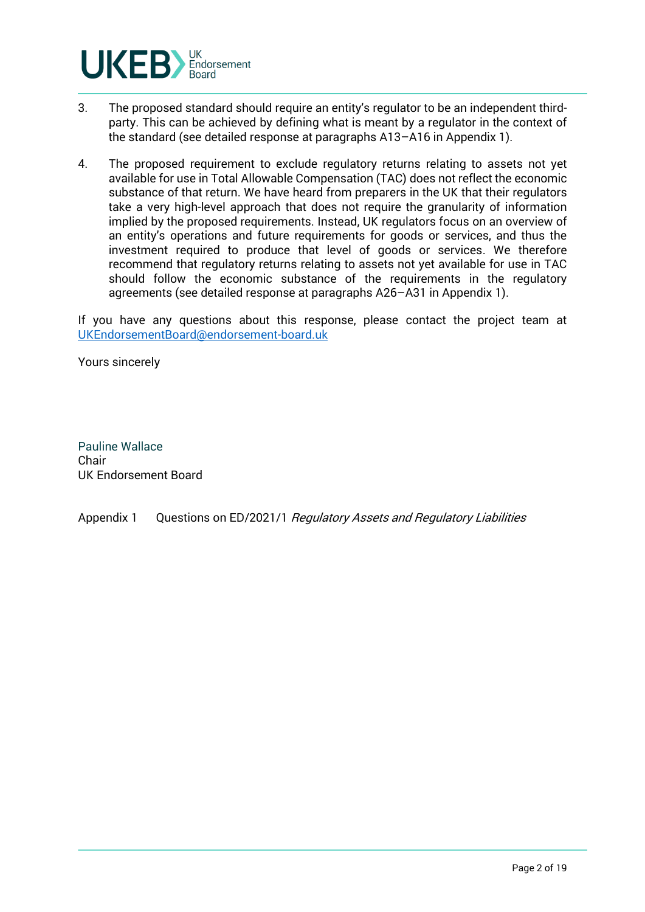

- 3. The proposed standard should require an entity's regulator to be an independent thirdparty. This can be achieved by defining what is meant by a regulator in the context of the standard (see detailed response at paragraphs A13–A16 in Appendix 1).
- 4. The proposed requirement to exclude regulatory returns relating to assets not yet available for use in Total Allowable Compensation (TAC) does not reflect the economic substance of that return. We have heard from preparers in the UK that their regulators take a very high-level approach that does not require the granularity of information implied by the proposed requirements. Instead, UK regulators focus on an overview of an entity's operations and future requirements for goods or services, and thus the investment required to produce that level of goods or services. We therefore recommend that regulatory returns relating to assets not yet available for use in TAC should follow the economic substance of the requirements in the regulatory agreements (see detailed response at paragraphs A26–A31 in Appendix 1).

If you have any questions about this response, please contact the project team at UKEndorsementBoard@endorsement-board.uk

Yours sincerely

Pauline Wallace Chair UK Endorsement Board

Appendix 1 Questions on ED/2021/1 Regulatory Assets and Regulatory Liabilities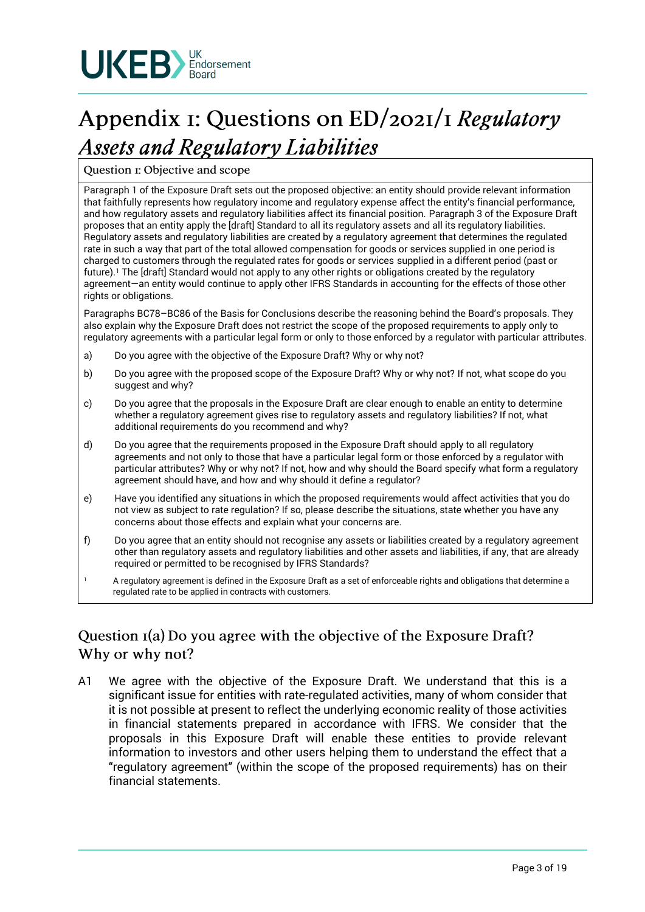

# Appendix 1: Questions on ED/2021/1 Regulatory **Assets and Regulatory Liabilities**

Question I: Objective and scope

Paragraph 1 of the Exposure Draft sets out the proposed objective: an entity should provide relevant information that faithfully represents how regulatory income and regulatory expense affect the entity's financial performance, and how regulatory assets and regulatory liabilities affect its financial position. Paragraph 3 of the Exposure Draft proposes that an entity apply the [draft] Standard to all its regulatory assets and all its regulatory liabilities. Regulatory assets and regulatory liabilities are created by a regulatory agreement that determines the regulated rate in such a way that part of the total allowed compensation for goods or services supplied in one period is charged to customers through the regulated rates for goods or services supplied in a different period (past or future).<sup>1</sup> The [draft] Standard would not apply to any other rights or obligations created by the regulatory agreement—an entity would continue to apply other IFRS Standards in accounting for the effects of those other rights or obligations.

Paragraphs BC78–BC86 of the Basis for Conclusions describe the reasoning behind the Board's proposals. They also explain why the Exposure Draft does not restrict the scope of the proposed requirements to apply only to regulatory agreements with a particular legal form or only to those enforced by a regulator with particular attributes.

- a) Do you agree with the objective of the Exposure Draft? Why or why not?
- b) Do you agree with the proposed scope of the Exposure Draft? Why or why not? If not, what scope do you suggest and why?
- c) Do you agree that the proposals in the Exposure Draft are clear enough to enable an entity to determine whether a regulatory agreement gives rise to regulatory assets and regulatory liabilities? If not, what additional requirements do you recommend and why?
- d) Do you agree that the requirements proposed in the Exposure Draft should apply to all regulatory agreements and not only to those that have a particular legal form or those enforced by a regulator with particular attributes? Why or why not? If not, how and why should the Board specify what form a regulatory agreement should have, and how and why should it define a regulator?
- e) Have you identified any situations in which the proposed requirements would affect activities that you do not view as subject to rate regulation? If so, please describe the situations, state whether you have any concerns about those effects and explain what your concerns are.
- f) Do you agree that an entity should not recognise any assets or liabilities created by a regulatory agreement other than regulatory assets and regulatory liabilities and other assets and liabilities, if any, that are already required or permitted to be recognised by IFRS Standards?
- <sup>1</sup> A regulatory agreement is defined in the Exposure Draft as a set of enforceable rights and obligations that determine a regulated rate to be applied in contracts with customers.

# Question I(a) Do you agree with the objective of the Exposure Draft? Why or why not?

A1 We agree with the objective of the Exposure Draft. We understand that this is a significant issue for entities with rate-regulated activities, many of whom consider that it is not possible at present to reflect the underlying economic reality of those activities in financial statements prepared in accordance with IFRS. We consider that the proposals in this Exposure Draft will enable these entities to provide relevant information to investors and other users helping them to understand the effect that a "regulatory agreement" (within the scope of the proposed requirements) has on their financial statements.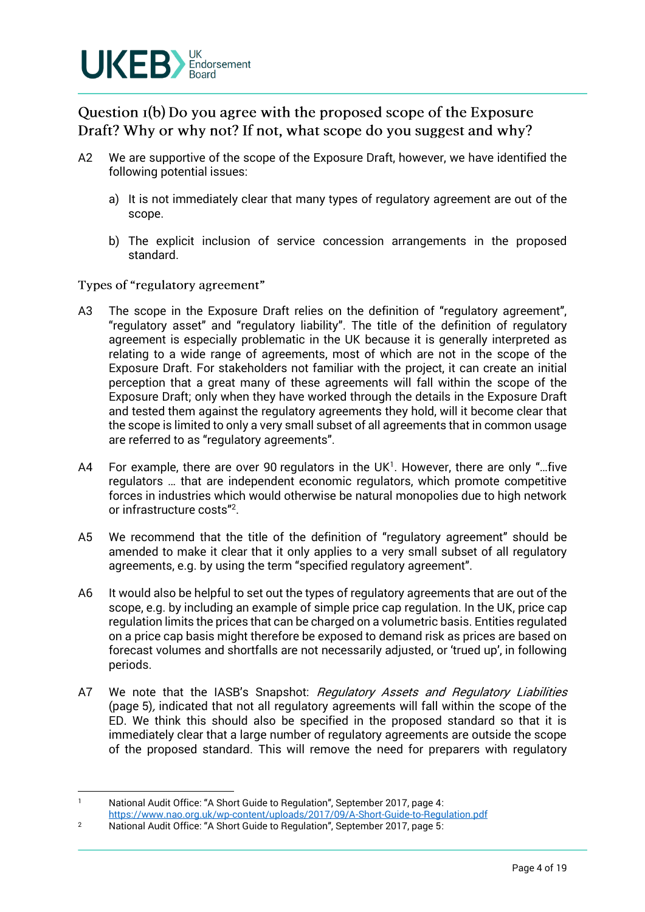

Question I(b) Do you agree with the proposed scope of the Exposure Draft? Why or why not? If not, what scope do you suggest and why?

- A2 We are supportive of the scope of the Exposure Draft, however, we have identified the following potential issues:
	- a) It is not immediately clear that many types of regulatory agreement are out of the scope.
	- b) The explicit inclusion of service concession arrangements in the proposed standard.

Types of "regulatory agreement"

- A3 The scope in the Exposure Draft relies on the definition of "regulatory agreement", "regulatory asset" and "regulatory liability". The title of the definition of regulatory agreement is especially problematic in the UK because it is generally interpreted as relating to a wide range of agreements, most of which are not in the scope of the Exposure Draft. For stakeholders not familiar with the project, it can create an initial perception that a great many of these agreements will fall within the scope of the Exposure Draft; only when they have worked through the details in the Exposure Draft and tested them against the regulatory agreements they hold, will it become clear that the scope is limited to only a very small subset of all agreements that in common usage are referred to as "regulatory agreements".
- A4 For example, there are over 90 regulators in the UK<sup>1</sup>. However, there are only "...five regulators … that are independent economic regulators, which promote competitive forces in industries which would otherwise be natural monopolies due to high network or infrastructure costs"<sup>2</sup> .
- A5 We recommend that the title of the definition of "regulatory agreement" should be amended to make it clear that it only applies to a very small subset of all regulatory agreements, e.g. by using the term "specified regulatory agreement".
- A6 It would also be helpful to set out the types of regulatory agreements that are out of the scope, e.g. by including an example of simple price cap regulation. In the UK, price cap regulation limits the prices that can be charged on a volumetric basis. Entities regulated on a price cap basis might therefore be exposed to demand risk as prices are based on forecast volumes and shortfalls are not necessarily adjusted, or 'trued up', in following periods.
- A7 We note that the IASB's Snapshot: Regulatory Assets and Regulatory Liabilities (page 5), indicated that not all regulatory agreements will fall within the scope of the ED. We think this should also be specified in the proposed standard so that it is immediately clear that a large number of regulatory agreements are outside the scope of the proposed standard. This will remove the need for preparers with regulatory

<sup>1</sup> National Audit Office: "A Short Guide to Regulation", September 2017, page 4:

https://www.nao.org.uk/wp-content/uploads/2017/09/A-Short-Guide-to-Regulation.pdf

<sup>2</sup> National Audit Office: "A Short Guide to Regulation", September 2017, page 5: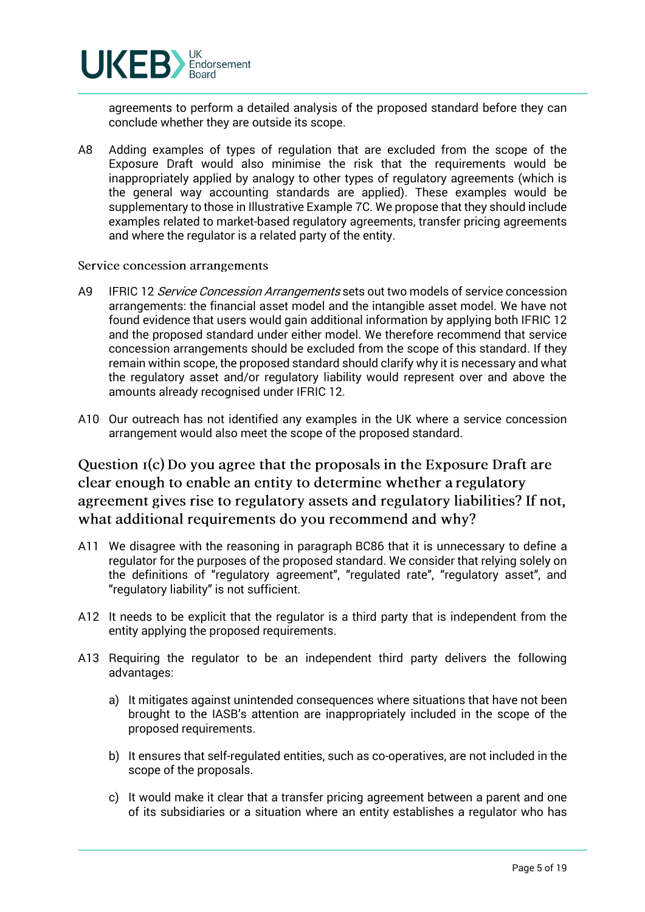

agreements to perform a detailed analysis of the proposed standard before they can conclude whether they are outside its scope.

A8 Adding examples of types of regulation that are excluded from the scope of the Exposure Draft would also minimise the risk that the requirements would be inappropriately applied by analogy to other types of regulatory agreements (which is the general way accounting standards are applied). These examples would be supplementary to those in Illustrative Example 7C. We propose that they should include examples related to market-based regulatory agreements, transfer pricing agreements and where the regulator is a related party of the entity.

#### Service concession arrangements

- A9 IFRIC 12 Service Concession Arrangements sets out two models of service concession arrangements: the financial asset model and the intangible asset model. We have not found evidence that users would gain additional information by applying both IFRIC 12 and the proposed standard under either model. We therefore recommend that service concession arrangements should be excluded from the scope of this standard. If they remain within scope, the proposed standard should clarify why it is necessary and what the regulatory asset and/or regulatory liability would represent over and above the amounts already recognised under IFRIC 12.
- A10 Our outreach has not identified any examples in the UK where a service concession arrangement would also meet the scope of the proposed standard.

Question I(c) Do you agree that the proposals in the Exposure Draft are clear enough to enable an entity to determine whether a regulatory agreement gives rise to regulatory assets and regulatory liabilities? If not, what additional requirements do you recommend and why?

- A11 We disagree with the reasoning in paragraph BC86 that it is unnecessary to define a regulator for the purposes of the proposed standard. We consider that relying solely on the definitions of "regulatory agreement", "regulated rate", "regulatory asset", and "regulatory liability" is not sufficient.
- A12 It needs to be explicit that the regulator is a third party that is independent from the entity applying the proposed requirements.
- A13 Requiring the regulator to be an independent third party delivers the following advantages:
	- a) It mitigates against unintended consequences where situations that have not been brought to the IASB's attention are inappropriately included in the scope of the proposed requirements.
	- b) It ensures that self-regulated entities, such as co-operatives, are not included in the scope of the proposals.
	- c) It would make it clear that a transfer pricing agreement between a parent and one of its subsidiaries or a situation where an entity establishes a regulator who has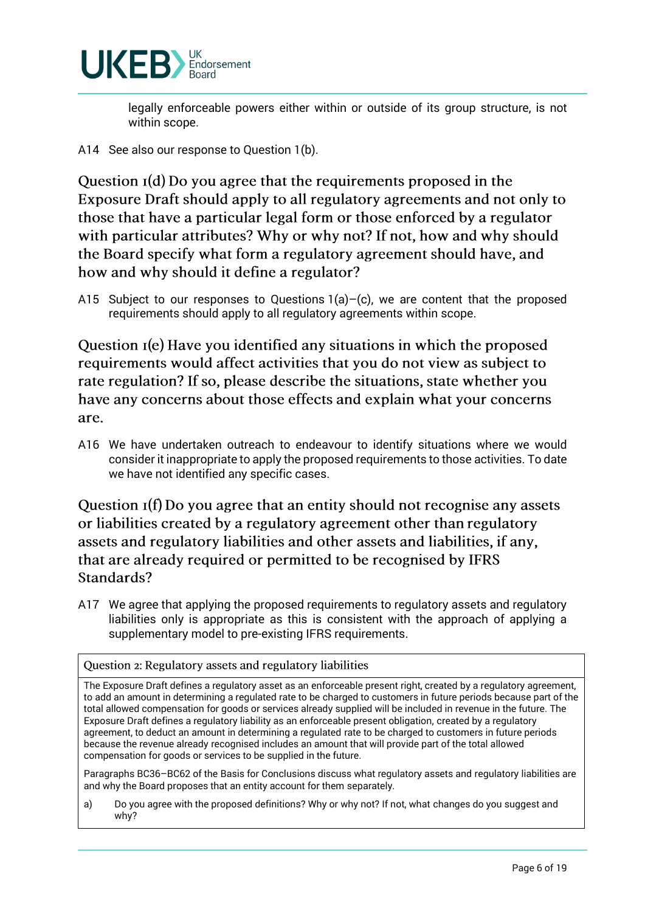

legally enforceable powers either within or outside of its group structure, is not within scope.

A14 See also our response to Question 1(b).

Question  $I(d)$  Do you agree that the requirements proposed in the Exposure Draft should apply to all regulatory agreements and not only to those that have a particular legal form or those enforced by a regulator with particular attributes? Why or why not? If not, how and why should the Board specify what form a regulatory agreement should have, and how and why should it define a regulator?

A15 Subject to our responses to Questions  $1(a)$ –(c), we are content that the proposed requirements should apply to all regulatory agreements within scope.

Question I(e) Have you identified any situations in which the proposed requirements would affect activities that you do not view as subject to rate regulation? If so, please describe the situations, state whether you have any concerns about those effects and explain what your concerns are.

A16 We have undertaken outreach to endeavour to identify situations where we would consider it inappropriate to apply the proposed requirements to those activities. To date we have not identified any specific cases.

Question I(f) Do you agree that an entity should not recognise any assets or liabilities created by a regulatory agreement other than regulatory assets and regulatory liabilities and other assets and liabilities, if any, that are already required or permitted to be recognised by IFRS Standards?

A17 We agree that applying the proposed requirements to regulatory assets and regulatory liabilities only is appropriate as this is consistent with the approach of applying a supplementary model to pre-existing IFRS requirements.

Question 2: Regulatory assets and regulatory liabilities

The Exposure Draft defines a regulatory asset as an enforceable present right, created by a regulatory agreement, to add an amount in determining a regulated rate to be charged to customers in future periods because part of the total allowed compensation for goods or services already supplied will be included in revenue in the future. The Exposure Draft defines a regulatory liability as an enforceable present obligation, created by a regulatory agreement, to deduct an amount in determining a regulated rate to be charged to customers in future periods because the revenue already recognised includes an amount that will provide part of the total allowed compensation for goods or services to be supplied in the future.

Paragraphs BC36–BC62 of the Basis for Conclusions discuss what regulatory assets and regulatory liabilities are and why the Board proposes that an entity account for them separately.

a) Do you agree with the proposed definitions? Why or why not? If not, what changes do you suggest and why?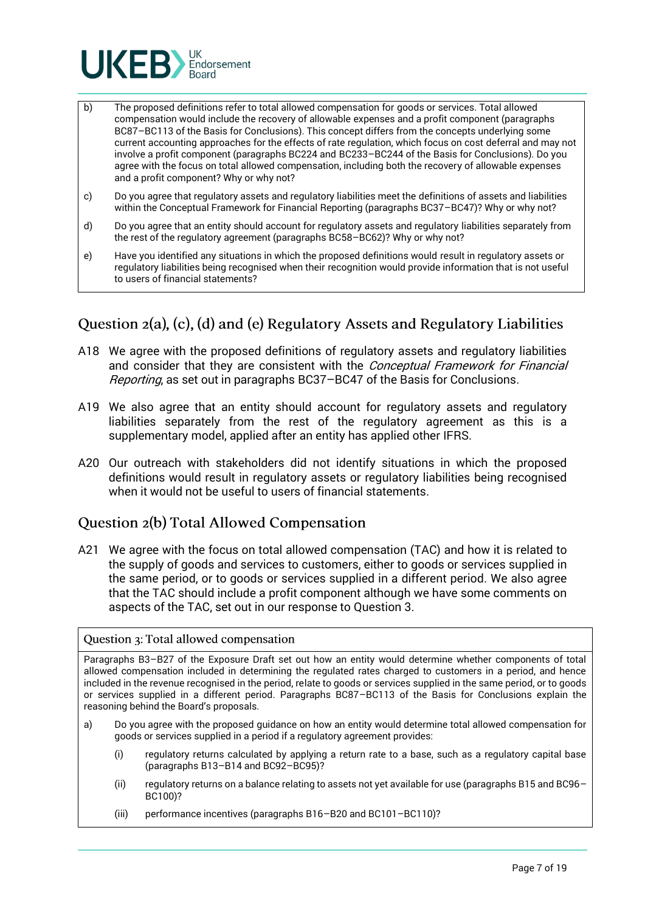

- b) The proposed definitions refer to total allowed compensation for goods or services. Total allowed compensation would include the recovery of allowable expenses and a profit component (paragraphs BC87–BC113 of the Basis for Conclusions). This concept differs from the concepts underlying some current accounting approaches for the effects of rate regulation, which focus on cost deferral and may not involve a profit component (paragraphs BC224 and BC233–BC244 of the Basis for Conclusions). Do you agree with the focus on total allowed compensation, including both the recovery of allowable expenses and a profit component? Why or why not?
- c) Do you agree that regulatory assets and regulatory liabilities meet the definitions of assets and liabilities within the Conceptual Framework for Financial Reporting (paragraphs BC37–BC47)? Why or why not?
- d) Do you agree that an entity should account for regulatory assets and regulatory liabilities separately from the rest of the regulatory agreement (paragraphs BC58–BC62)? Why or why not?
- e) Have you identified any situations in which the proposed definitions would result in regulatory assets or regulatory liabilities being recognised when their recognition would provide information that is not useful to users of financial statements?

## Question 2(a), (c), (d) and (e) Regulatory Assets and Regulatory Liabilities

- A18 We agree with the proposed definitions of regulatory assets and regulatory liabilities and consider that they are consistent with the *Conceptual Framework for Financial* Reporting, as set out in paragraphs BC37–BC47 of the Basis for Conclusions.
- A19 We also agree that an entity should account for regulatory assets and regulatory liabilities separately from the rest of the regulatory agreement as this is a supplementary model, applied after an entity has applied other IFRS.
- A20 Our outreach with stakeholders did not identify situations in which the proposed definitions would result in regulatory assets or regulatory liabilities being recognised when it would not be useful to users of financial statements.

### Question 2(b) Total Allowed Compensation

A21 We agree with the focus on total allowed compensation (TAC) and how it is related to the supply of goods and services to customers, either to goods or services supplied in the same period, or to goods or services supplied in a different period. We also agree that the TAC should include a profit component although we have some comments on aspects of the TAC, set out in our response to Question 3.

#### Question 3: Total allowed compensation

Paragraphs B3–B27 of the Exposure Draft set out how an entity would determine whether components of total allowed compensation included in determining the regulated rates charged to customers in a period, and hence included in the revenue recognised in the period, relate to goods or services supplied in the same period, or to goods or services supplied in a different period. Paragraphs BC87–BC113 of the Basis for Conclusions explain the reasoning behind the Board's proposals.

- a) Do you agree with the proposed guidance on how an entity would determine total allowed compensation for goods or services supplied in a period if a regulatory agreement provides:
	- (i) regulatory returns calculated by applying a return rate to a base, such as a regulatory capital base (paragraphs B13–B14 and BC92–BC95)?
	- (ii) regulatory returns on a balance relating to assets not yet available for use (paragraphs B15 and BC96– BC100)?
	- (iii) performance incentives (paragraphs B16–B20 and BC101–BC110)?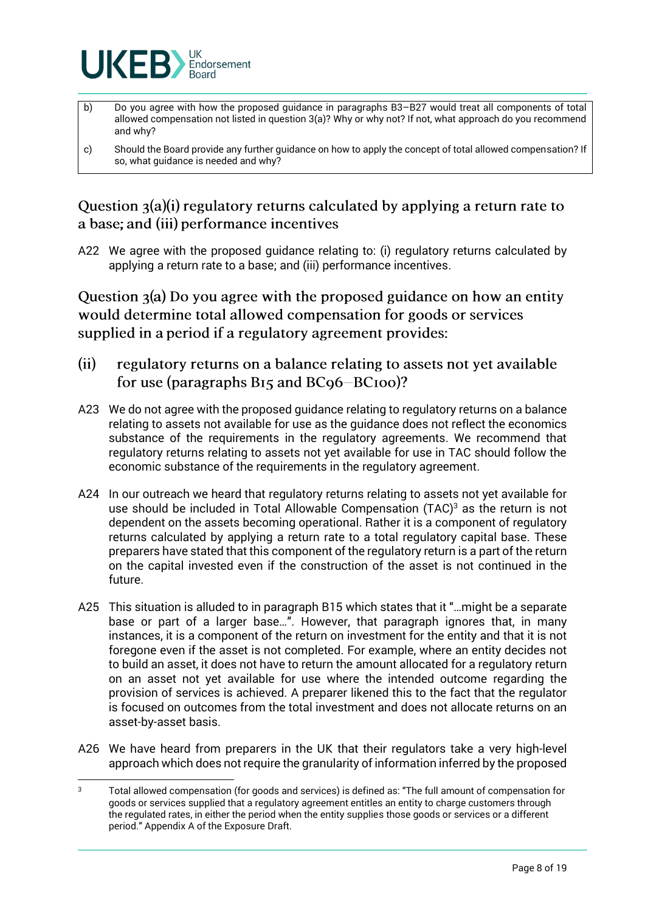

- b) Do you agree with how the proposed guidance in paragraphs B3–B27 would treat all components of total allowed compensation not listed in question 3(a)? Why or why not? If not, what approach do you recommend and why?
- c) Should the Board provide any further guidance on how to apply the concept of total allowed compensation? If so, what guidance is needed and why?

Question  $3(a)(i)$  regulatory returns calculated by applying a return rate to a base; and (iii) performance incentives

A22 We agree with the proposed guidance relating to: (i) regulatory returns calculated by applying a return rate to a base; and (iii) performance incentives.

Question  $a(a)$  Do you agree with the proposed guidance on how an entity would determine total allowed compensation for goods or services supplied in a period if a regulatory agreement provides:

- $(ii)$ regulatory returns on a balance relating to assets not yet available for use (paragraphs  $B<sub>15</sub>$  and  $B<sub>C9</sub>6-BC<sub>100</sub>$ )?
- A23 We do not agree with the proposed guidance relating to regulatory returns on a balance relating to assets not available for use as the guidance does not reflect the economics substance of the requirements in the regulatory agreements. We recommend that regulatory returns relating to assets not yet available for use in TAC should follow the economic substance of the requirements in the regulatory agreement.
- A24 In our outreach we heard that regulatory returns relating to assets not yet available for use should be included in Total Allowable Compensation (TAC) <sup>3</sup> as the return is not dependent on the assets becoming operational. Rather it is a component of regulatory returns calculated by applying a return rate to a total regulatory capital base. These preparers have stated that this component of the regulatory return is a part of the return on the capital invested even if the construction of the asset is not continued in the future.
- A25 This situation is alluded to in paragraph B15 which states that it "…might be a separate base or part of a larger base…". However, that paragraph ignores that, in many instances, it is a component of the return on investment for the entity and that it is not foregone even if the asset is not completed. For example, where an entity decides not to build an asset, it does not have to return the amount allocated for a regulatory return on an asset not yet available for use where the intended outcome regarding the provision of services is achieved. A preparer likened this to the fact that the regulator is focused on outcomes from the total investment and does not allocate returns on an asset-by-asset basis.
- A26 We have heard from preparers in the UK that their regulators take a very high-level approach which does not require the granularity of information inferred by the proposed

<sup>3</sup> Total allowed compensation (for goods and services) is defined as: "The full amount of compensation for goods or services supplied that a regulatory agreement entitles an entity to charge customers through the regulated rates, in either the period when the entity supplies those goods or services or a different period." Appendix A of the Exposure Draft.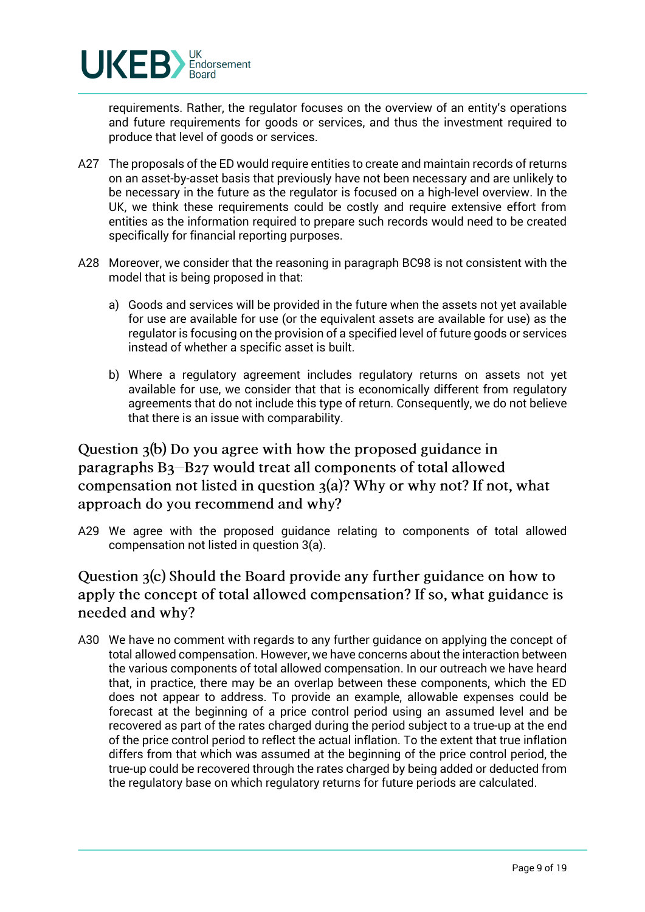

requirements. Rather, the regulator focuses on the overview of an entity's operations and future requirements for goods or services, and thus the investment required to produce that level of goods or services.

- A27 The proposals of the ED would require entities to create and maintain records of returns on an asset-by-asset basis that previously have not been necessary and are unlikely to be necessary in the future as the regulator is focused on a high-level overview. In the UK, we think these requirements could be costly and require extensive effort from entities as the information required to prepare such records would need to be created specifically for financial reporting purposes.
- A28 Moreover, we consider that the reasoning in paragraph BC98 is not consistent with the model that is being proposed in that:
	- a) Goods and services will be provided in the future when the assets not yet available for use are available for use (or the equivalent assets are available for use) as the regulator is focusing on the provision of a specified level of future goods or services instead of whether a specific asset is built.
	- b) Where a regulatory agreement includes regulatory returns on assets not yet available for use, we consider that that is economically different from regulatory agreements that do not include this type of return. Consequently, we do not believe that there is an issue with comparability.

Question 3(b) Do you agree with how the proposed guidance in paragraphs B<sub>3</sub>-B<sub>27</sub> would treat all components of total allowed compensation not listed in question  $3(a)$ ? Why or why not? If not, what approach do you recommend and why?

A29 We agree with the proposed guidance relating to components of total allowed compensation not listed in question 3(a).

# Question 3(c) Should the Board provide any further guidance on how to apply the concept of total allowed compensation? If so, what guidance is needed and why?

A30 We have no comment with regards to any further guidance on applying the concept of total allowed compensation. However, we have concerns about the interaction between the various components of total allowed compensation. In our outreach we have heard that, in practice, there may be an overlap between these components, which the ED does not appear to address. To provide an example, allowable expenses could be forecast at the beginning of a price control period using an assumed level and be recovered as part of the rates charged during the period subject to a true-up at the end of the price control period to reflect the actual inflation. To the extent that true inflation differs from that which was assumed at the beginning of the price control period, the true-up could be recovered through the rates charged by being added or deducted from the regulatory base on which regulatory returns for future periods are calculated.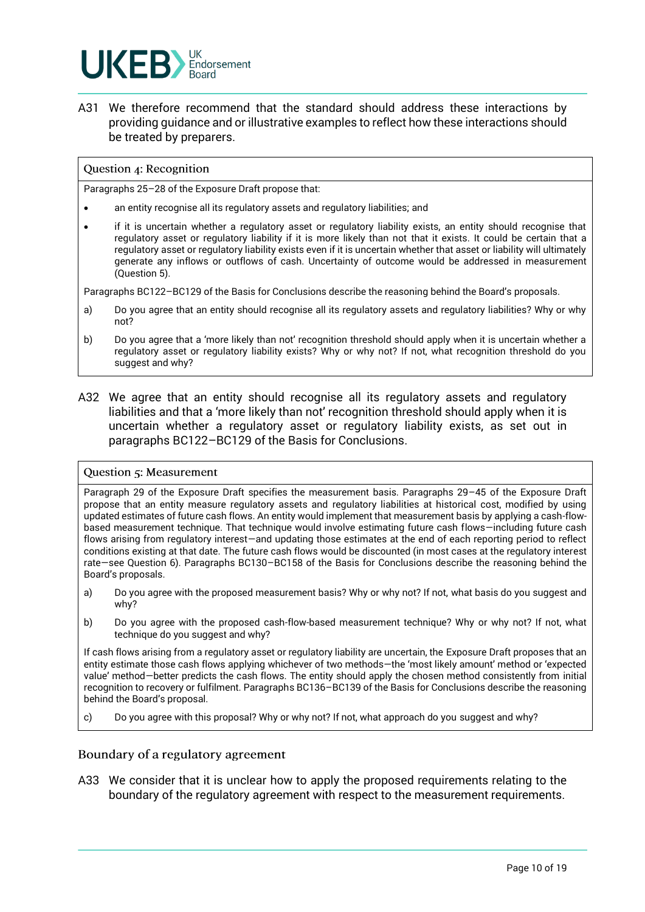

A31 We therefore recommend that the standard should address these interactions by providing guidance and or illustrative examples to reflect how these interactions should be treated by preparers.

#### Question 4: Recognition

Paragraphs 25–28 of the Exposure Draft propose that:

- an entity recognise all its regulatory assets and regulatory liabilities; and
- if it is uncertain whether a regulatory asset or regulatory liability exists, an entity should recognise that regulatory asset or regulatory liability if it is more likely than not that it exists. It could be certain that a regulatory asset or regulatory liability exists even if it is uncertain whether that asset or liability will ultimately generate any inflows or outflows of cash. Uncertainty of outcome would be addressed in measurement (Question 5).

Paragraphs BC122–BC129 of the Basis for Conclusions describe the reasoning behind the Board's proposals.

- a) Do you agree that an entity should recognise all its regulatory assets and regulatory liabilities? Why or why not?
- b) Do you agree that a 'more likely than not' recognition threshold should apply when it is uncertain whether a regulatory asset or regulatory liability exists? Why or why not? If not, what recognition threshold do you suggest and why?
- A32 We agree that an entity should recognise all its regulatory assets and regulatory liabilities and that a 'more likely than not' recognition threshold should apply when it is uncertain whether a regulatory asset or regulatory liability exists, as set out in paragraphs BC122–BC129 of the Basis for Conclusions.

#### Question 5: Measurement

Paragraph 29 of the Exposure Draft specifies the measurement basis. Paragraphs 29–45 of the Exposure Draft propose that an entity measure regulatory assets and regulatory liabilities at historical cost, modified by using updated estimates of future cash flows. An entity would implement that measurement basis by applying a cash-flowbased measurement technique. That technique would involve estimating future cash flows—including future cash flows arising from regulatory interest—and updating those estimates at the end of each reporting period to reflect conditions existing at that date. The future cash flows would be discounted (in most cases at the regulatory interest rate—see Question 6). Paragraphs BC130–BC158 of the Basis for Conclusions describe the reasoning behind the Board's proposals.

- a) Do you agree with the proposed measurement basis? Why or why not? If not, what basis do you suggest and why?
- b) Do you agree with the proposed cash-flow-based measurement technique? Why or why not? If not, what technique do you suggest and why?

If cash flows arising from a regulatory asset or regulatory liability are uncertain, the Exposure Draft proposes that an entity estimate those cash flows applying whichever of two methods—the 'most likely amount' method or 'expected value' method—better predicts the cash flows. The entity should apply the chosen method consistently from initial recognition to recovery or fulfilment. Paragraphs BC136–BC139 of the Basis for Conclusions describe the reasoning behind the Board's proposal.

c) Do you agree with this proposal? Why or why not? If not, what approach do you suggest and why?

#### Boundary of a regulatory agreement

A33 We consider that it is unclear how to apply the proposed requirements relating to the boundary of the regulatory agreement with respect to the measurement requirements.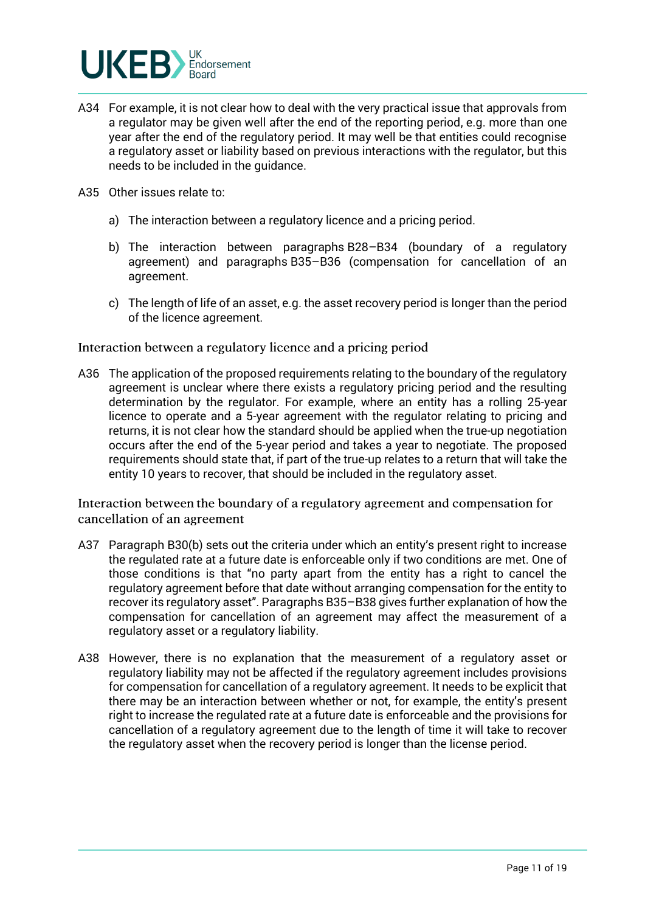

- A34 For example, it is not clear how to deal with the very practical issue that approvals from a regulator may be given well after the end of the reporting period, e.g. more than one year after the end of the regulatory period. It may well be that entities could recognise a regulatory asset or liability based on previous interactions with the regulator, but this needs to be included in the guidance.
- A35 Other issues relate to:
	- a) The interaction between a regulatory licence and a pricing period.
	- b) The interaction between paragraphs B28–B34 (boundary of a regulatory agreement) and paragraphs B35–B36 (compensation for cancellation of an agreement.
	- c) The length of life of an asset, e.g. the asset recovery period is longer than the period of the licence agreement.

Interaction between a regulatory licence and a pricing period

A36 The application of the proposed requirements relating to the boundary of the regulatory agreement is unclear where there exists a regulatory pricing period and the resulting determination by the regulator. For example, where an entity has a rolling 25-year licence to operate and a 5-year agreement with the regulator relating to pricing and returns, it is not clear how the standard should be applied when the true-up negotiation occurs after the end of the 5-year period and takes a year to negotiate. The proposed requirements should state that, if part of the true-up relates to a return that will take the entity 10 years to recover, that should be included in the regulatory asset.

Interaction between the boundary of a regulatory agreement and compensation for cancellation of an agreement

- A37 Paragraph B30(b) sets out the criteria under which an entity's present right to increase the regulated rate at a future date is enforceable only if two conditions are met. One of those conditions is that "no party apart from the entity has a right to cancel the regulatory agreement before that date without arranging compensation for the entity to recover its regulatory asset". Paragraphs B35–B38 gives further explanation of how the compensation for cancellation of an agreement may affect the measurement of a regulatory asset or a regulatory liability.
- A38 However, there is no explanation that the measurement of a regulatory asset or regulatory liability may not be affected if the regulatory agreement includes provisions for compensation for cancellation of a regulatory agreement. It needs to be explicit that there may be an interaction between whether or not, for example, the entity's present right to increase the regulated rate at a future date is enforceable and the provisions for cancellation of a regulatory agreement due to the length of time it will take to recover the regulatory asset when the recovery period is longer than the license period.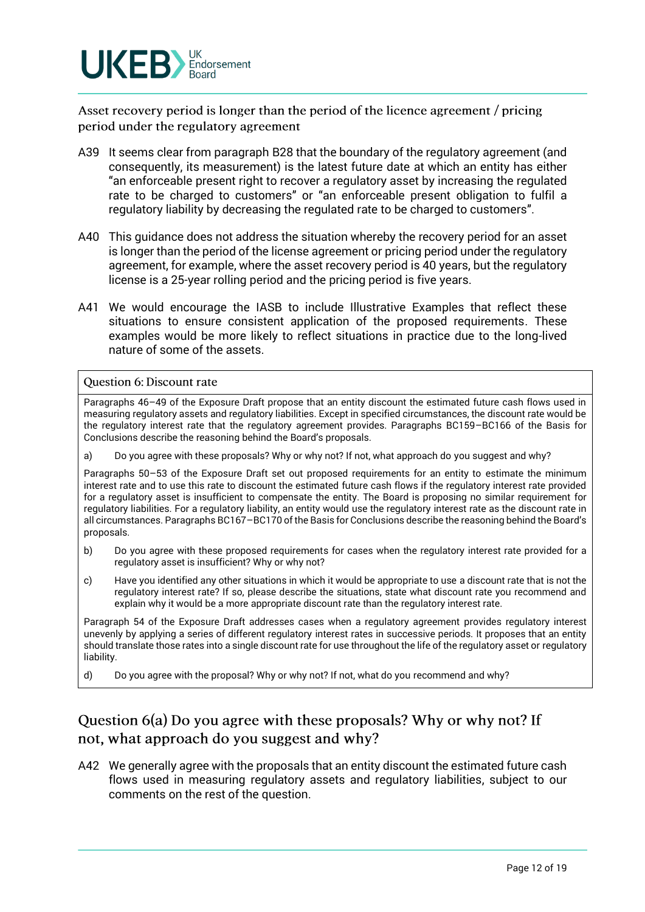

Asset recovery period is longer than the period of the licence agreement / pricing period under the regulatory agreement

- A39 It seems clear from paragraph B28 that the boundary of the regulatory agreement (and consequently, its measurement) is the latest future date at which an entity has either "an enforceable present right to recover a regulatory asset by increasing the regulated rate to be charged to customers" or "an enforceable present obligation to fulfil a regulatory liability by decreasing the regulated rate to be charged to customers".
- A40 This guidance does not address the situation whereby the recovery period for an asset is longer than the period of the license agreement or pricing period under the regulatory agreement, for example, where the asset recovery period is 40 years, but the regulatory license is a 25-year rolling period and the pricing period is five years.
- A41 We would encourage the IASB to include Illustrative Examples that reflect these situations to ensure consistent application of the proposed requirements. These examples would be more likely to reflect situations in practice due to the long-lived nature of some of the assets.

#### Question 6: Discount rate

Paragraphs 46–49 of the Exposure Draft propose that an entity discount the estimated future cash flows used in measuring regulatory assets and regulatory liabilities. Except in specified circumstances, the discount rate would be the regulatory interest rate that the regulatory agreement provides. Paragraphs BC159–BC166 of the Basis for Conclusions describe the reasoning behind the Board's proposals.

a) Do you agree with these proposals? Why or why not? If not, what approach do you suggest and why?

Paragraphs 50–53 of the Exposure Draft set out proposed requirements for an entity to estimate the minimum interest rate and to use this rate to discount the estimated future cash flows if the regulatory interest rate provided for a regulatory asset is insufficient to compensate the entity. The Board is proposing no similar requirement for regulatory liabilities. For a regulatory liability, an entity would use the regulatory interest rate as the discount rate in all circumstances. Paragraphs BC167–BC170 of the Basis for Conclusions describe the reasoning behind the Board's proposals.

- b) Do you agree with these proposed requirements for cases when the regulatory interest rate provided for a regulatory asset is insufficient? Why or why not?
- c) Have you identified any other situations in which it would be appropriate to use a discount rate that is not the regulatory interest rate? If so, please describe the situations, state what discount rate you recommend and explain why it would be a more appropriate discount rate than the regulatory interest rate.

Paragraph 54 of the Exposure Draft addresses cases when a regulatory agreement provides regulatory interest unevenly by applying a series of different regulatory interest rates in successive periods. It proposes that an entity should translate those rates into a single discount rate for use throughout the life of the regulatory asset or regulatory liability.

d) Do you agree with the proposal? Why or why not? If not, what do you recommend and why?

# Question 6(a) Do you agree with these proposals? Why or why not? If not, what approach do you suggest and why?

A42 We generally agree with the proposals that an entity discount the estimated future cash flows used in measuring regulatory assets and regulatory liabilities, subject to our comments on the rest of the question.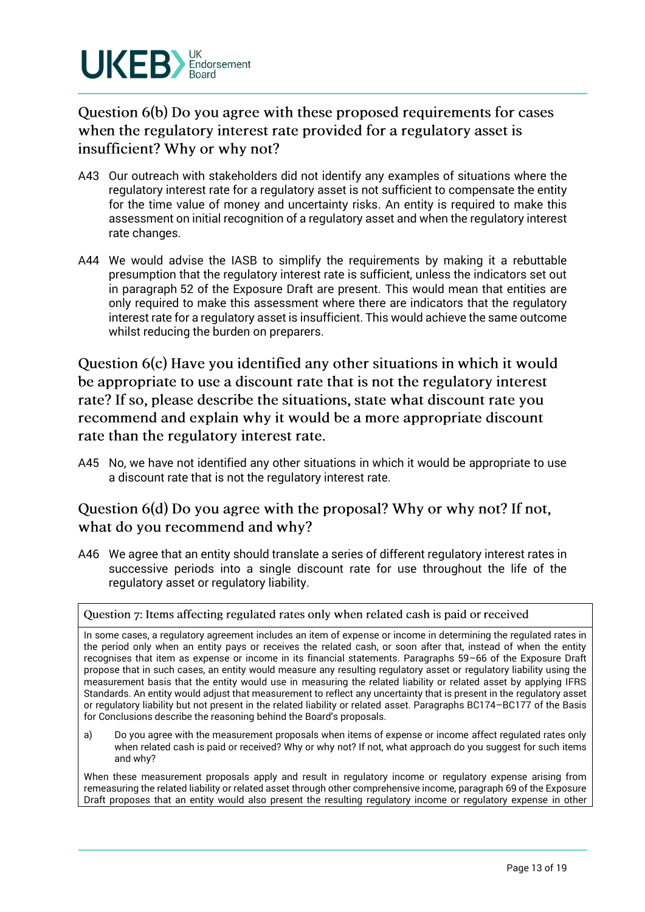

Question 6(b) Do you agree with these proposed requirements for cases when the regulatory interest rate provided for a regulatory asset is insufficient? Why or why not?

- A43 Our outreach with stakeholders did not identify any examples of situations where the regulatory interest rate for a regulatory asset is not sufficient to compensate the entity for the time value of money and uncertainty risks. An entity is required to make this assessment on initial recognition of a regulatory asset and when the regulatory interest rate changes.
- A44 We would advise the IASB to simplify the requirements by making it a rebuttable presumption that the regulatory interest rate is sufficient, unless the indicators set out in paragraph 52 of the Exposure Draft are present. This would mean that entities are only required to make this assessment where there are indicators that the regulatory interest rate for a regulatory asset is insufficient. This would achieve the same outcome whilst reducing the burden on preparers.

Question 6(c) Have you identified any other situations in which it would be appropriate to use a discount rate that is not the regulatory interest rate? If so, please describe the situations, state what discount rate you recommend and explain why it would be a more appropriate discount rate than the regulatory interest rate.

A45 No, we have not identified any other situations in which it would be appropriate to use a discount rate that is not the regulatory interest rate.

## Question 6(d) Do you agree with the proposal? Why or why not? If not, what do you recommend and why?

A46 We agree that an entity should translate a series of different regulatory interest rates in successive periods into a single discount rate for use throughout the life of the regulatory asset or regulatory liability.

Question 7: Items affecting regulated rates only when related cash is paid or received

In some cases, a regulatory agreement includes an item of expense or income in determining the regulated rates in the period only when an entity pays or receives the related cash, or soon after that, instead of when the entity recognises that item as expense or income in its financial statements. Paragraphs 59–66 of the Exposure Draft propose that in such cases, an entity would measure any resulting regulatory asset or regulatory liability using the measurement basis that the entity would use in measuring the related liability or related asset by applying IFRS Standards. An entity would adjust that measurement to reflect any uncertainty that is present in the regulatory asset or regulatory liability but not present in the related liability or related asset. Paragraphs BC174–BC177 of the Basis for Conclusions describe the reasoning behind the Board's proposals.

a) Do you agree with the measurement proposals when items of expense or income affect regulated rates only when related cash is paid or received? Why or why not? If not, what approach do you suggest for such items and why?

When these measurement proposals apply and result in regulatory income or regulatory expense arising from remeasuring the related liability or related asset through other comprehensive income, paragraph 69 of the Exposure Draft proposes that an entity would also present the resulting regulatory income or regulatory expense in other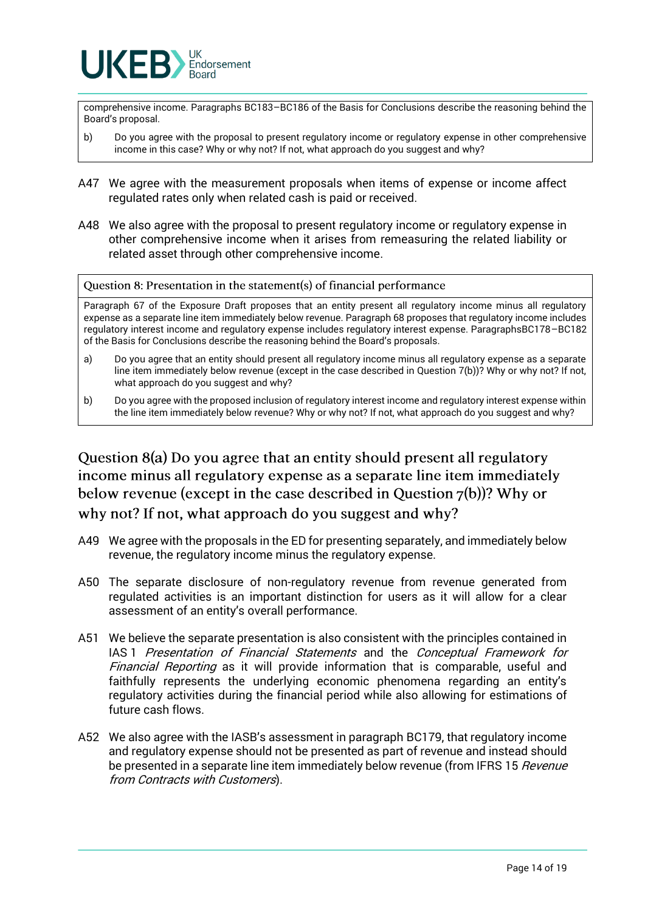

comprehensive income. Paragraphs BC183–BC186 of the Basis for Conclusions describe the reasoning behind the Board's proposal.

- b) Do you agree with the proposal to present regulatory income or regulatory expense in other comprehensive income in this case? Why or why not? If not, what approach do you suggest and why?
- A47 We agree with the measurement proposals when items of expense or income affect regulated rates only when related cash is paid or received.
- A48 We also agree with the proposal to present regulatory income or regulatory expense in other comprehensive income when it arises from remeasuring the related liability or related asset through other comprehensive income.

Question 8: Presentation in the statement(s) of financial performance

Paragraph 67 of the Exposure Draft proposes that an entity present all regulatory income minus all regulatory expense as a separate line item immediately below revenue. Paragraph 68 proposes that regulatory income includes regulatory interest income and regulatory expense includes regulatory interest expense. ParagraphsBC178–BC182 of the Basis for Conclusions describe the reasoning behind the Board's proposals.

- a) Do you agree that an entity should present all regulatory income minus all regulatory expense as a separate line item immediately below revenue (except in the case described in Question 7(b))? Why or why not? If not, what approach do you suggest and why?
- b) Do you agree with the proposed inclusion of regulatory interest income and regulatory interest expense within the line item immediately below revenue? Why or why not? If not, what approach do you suggest and why?

Question 8(a) Do you agree that an entity should present all regulatory income minus all regulatory expense as a separate line item immediately below revenue (except in the case described in Question  $7(b)$ )? Why or why not? If not, what approach do you suggest and why?

- A49 We agree with the proposals in the ED for presenting separately, and immediately below revenue, the regulatory income minus the regulatory expense.
- A50 The separate disclosure of non-regulatory revenue from revenue generated from regulated activities is an important distinction for users as it will allow for a clear assessment of an entity's overall performance.
- A51 We believe the separate presentation is also consistent with the principles contained in IAS 1 Presentation of Financial Statements and the Conceptual Framework for Financial Reporting as it will provide information that is comparable, useful and faithfully represents the underlying economic phenomena regarding an entity's regulatory activities during the financial period while also allowing for estimations of future cash flows.
- A52 We also agree with the IASB's assessment in paragraph BC179, that regulatory income and regulatory expense should not be presented as part of revenue and instead should be presented in a separate line item immediately below revenue (from IFRS 15 Revenue from Contracts with Customers).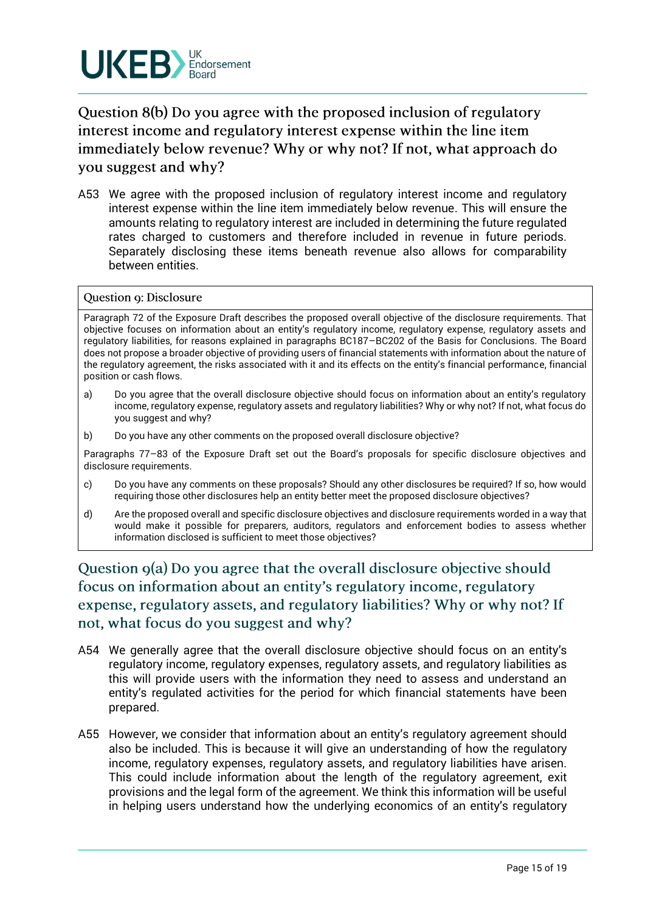

Question 8(b) Do you agree with the proposed inclusion of regulatory interest income and regulatory interest expense within the line item immediately below revenue? Why or why not? If not, what approach do you suggest and why?

A53 We agree with the proposed inclusion of regulatory interest income and regulatory interest expense within the line item immediately below revenue. This will ensure the amounts relating to regulatory interest are included in determining the future regulated rates charged to customers and therefore included in revenue in future periods. Separately disclosing these items beneath revenue also allows for comparability between entities.

#### Question 9: Disclosure

Paragraph 72 of the Exposure Draft describes the proposed overall objective of the disclosure requirements. That objective focuses on information about an entity's regulatory income, regulatory expense, regulatory assets and regulatory liabilities, for reasons explained in paragraphs BC187–BC202 of the Basis for Conclusions. The Board does not propose a broader objective of providing users of financial statements with information about the nature of the regulatory agreement, the risks associated with it and its effects on the entity's financial performance, financial position or cash flows.

- a) Do you agree that the overall disclosure objective should focus on information about an entity's regulatory income, regulatory expense, regulatory assets and regulatory liabilities? Why or why not? If not, what focus do you suggest and why?
- b) Do you have any other comments on the proposed overall disclosure objective?

Paragraphs 77–83 of the Exposure Draft set out the Board's proposals for specific disclosure objectives and disclosure requirements.

- c) Do you have any comments on these proposals? Should any other disclosures be required? If so, how would requiring those other disclosures help an entity better meet the proposed disclosure objectives?
- d) Are the proposed overall and specific disclosure objectives and disclosure requirements worded in a way that would make it possible for preparers, auditors, regulators and enforcement bodies to assess whether information disclosed is sufficient to meet those objectives?

Question 9(a) Do you agree that the overall disclosure objective should focus on information about an entity's regulatory income, regulatory expense, regulatory assets, and regulatory liabilities? Why or why not? If not, what focus do you suggest and why?

- A54 We generally agree that the overall disclosure objective should focus on an entity's regulatory income, regulatory expenses, regulatory assets, and regulatory liabilities as this will provide users with the information they need to assess and understand an entity's regulated activities for the period for which financial statements have been prepared.
- A55 However, we consider that information about an entity's regulatory agreement should also be included. This is because it will give an understanding of how the regulatory income, regulatory expenses, regulatory assets, and regulatory liabilities have arisen. This could include information about the length of the regulatory agreement, exit provisions and the legal form of the agreement. We think this information will be useful in helping users understand how the underlying economics of an entity's regulatory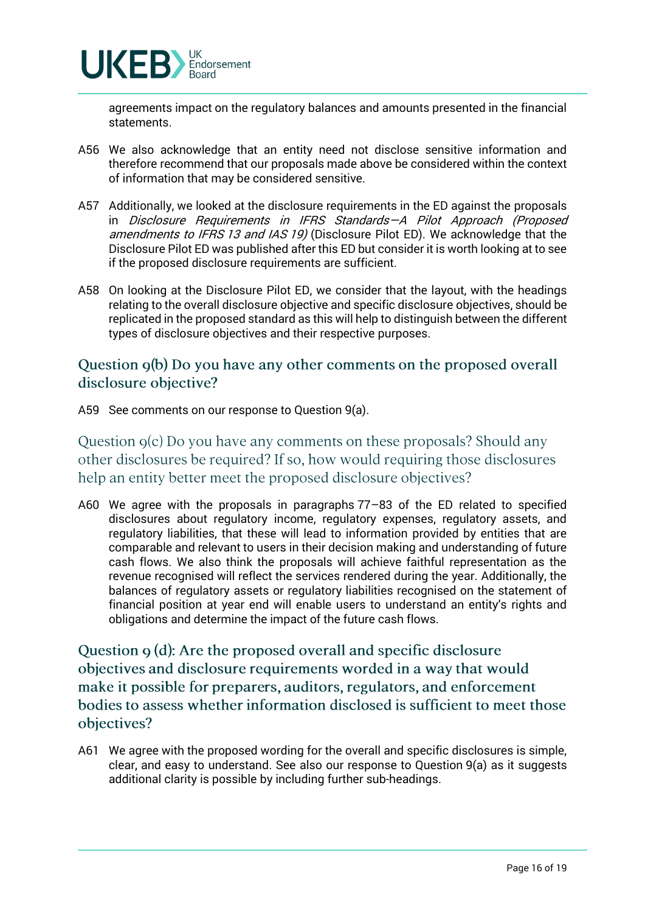

agreements impact on the regulatory balances and amounts presented in the financial statements.

- A56 We also acknowledge that an entity need not disclose sensitive information and therefore recommend that our proposals made above be considered within the context of information that may be considered sensitive.
- A57 Additionally, we looked at the disclosure requirements in the ED against the proposals in Disclosure Requirements in IFRS Standards—A Pilot Approach (Proposed amendments to IFRS 13 and IAS 19) (Disclosure Pilot ED). We acknowledge that the Disclosure Pilot ED was published after this ED but consider it is worth looking at to see if the proposed disclosure requirements are sufficient.
- A58 On looking at the Disclosure Pilot ED, we consider that the layout, with the headings relating to the overall disclosure objective and specific disclosure objectives, should be replicated in the proposed standard as this will help to distinguish between the different types of disclosure objectives and their respective purposes.

## Question 9(b) Do you have any other comments on the proposed overall disclosure objective?

A59 See comments on our response to Question 9(a).

Question  $g(c)$  Do you have any comments on these proposals? Should any other disclosures be required? If so, how would requiring those disclosures help an entity better meet the proposed disclosure objectives?

A60 We agree with the proposals in paragraphs 77–83 of the ED related to specified disclosures about regulatory income, regulatory expenses, regulatory assets, and regulatory liabilities, that these will lead to information provided by entities that are comparable and relevant to users in their decision making and understanding of future cash flows. We also think the proposals will achieve faithful representation as the revenue recognised will reflect the services rendered during the year. Additionally, the balances of regulatory assets or regulatory liabilities recognised on the statement of financial position at year end will enable users to understand an entity's rights and obligations and determine the impact of the future cash flows.

Question 9 (d): Are the proposed overall and specific disclosure objectives and disclosure requirements worded in a way that would make it possible for preparers, auditors, regulators, and enforcement bodies to assess whether information disclosed is sufficient to meet those objectives?

A61 We agree with the proposed wording for the overall and specific disclosures is simple, clear, and easy to understand. See also our response to Question 9(a) as it suggests additional clarity is possible by including further sub-headings.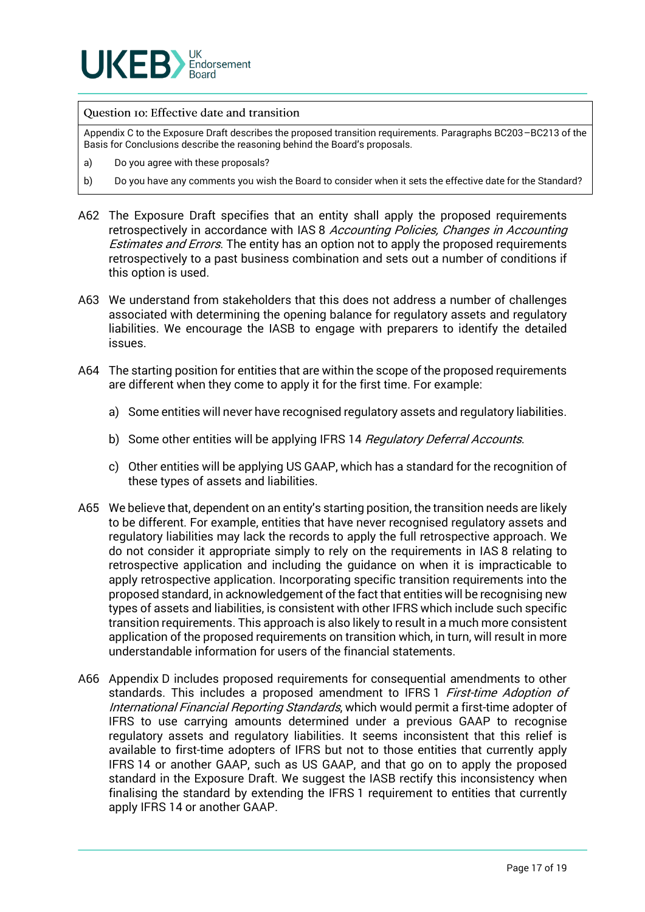

#### Question Io: Effective date and transition

Appendix C to the Exposure Draft describes the proposed transition requirements. Paragraphs BC203–BC213 of the Basis for Conclusions describe the reasoning behind the Board's proposals.

- a) Do you agree with these proposals?
- b) Do you have any comments you wish the Board to consider when it sets the effective date for the Standard?
- A62 The Exposure Draft specifies that an entity shall apply the proposed requirements retrospectively in accordance with IAS 8 Accounting Policies, Changes in Accounting Estimates and Errors. The entity has an option not to apply the proposed requirements retrospectively to a past business combination and sets out a number of conditions if this option is used.
- A63 We understand from stakeholders that this does not address a number of challenges associated with determining the opening balance for regulatory assets and regulatory liabilities. We encourage the IASB to engage with preparers to identify the detailed issues.
- A64 The starting position for entities that are within the scope of the proposed requirements are different when they come to apply it for the first time. For example:
	- a) Some entities will never have recognised regulatory assets and regulatory liabilities.
	- b) Some other entities will be applying IFRS 14 Regulatory Deferral Accounts.
	- c) Other entities will be applying US GAAP, which has a standard for the recognition of these types of assets and liabilities.
- A65 We believe that, dependent on an entity's starting position, the transition needs are likely to be different. For example, entities that have never recognised regulatory assets and regulatory liabilities may lack the records to apply the full retrospective approach. We do not consider it appropriate simply to rely on the requirements in IAS 8 relating to retrospective application and including the guidance on when it is impracticable to apply retrospective application. Incorporating specific transition requirements into the proposed standard, in acknowledgement of the fact that entities will be recognising new types of assets and liabilities, is consistent with other IFRS which include such specific transition requirements. This approach is also likely to result in a much more consistent application of the proposed requirements on transition which, in turn, will result in more understandable information for users of the financial statements.
- A66 Appendix D includes proposed requirements for consequential amendments to other standards. This includes a proposed amendment to IFRS 1 First-time Adoption of International Financial Reporting Standards, which would permit a first-time adopter of IFRS to use carrying amounts determined under a previous GAAP to recognise regulatory assets and regulatory liabilities. It seems inconsistent that this relief is available to first-time adopters of IFRS but not to those entities that currently apply IFRS 14 or another GAAP, such as US GAAP, and that go on to apply the proposed standard in the Exposure Draft. We suggest the IASB rectify this inconsistency when finalising the standard by extending the IFRS 1 requirement to entities that currently apply IFRS 14 or another GAAP.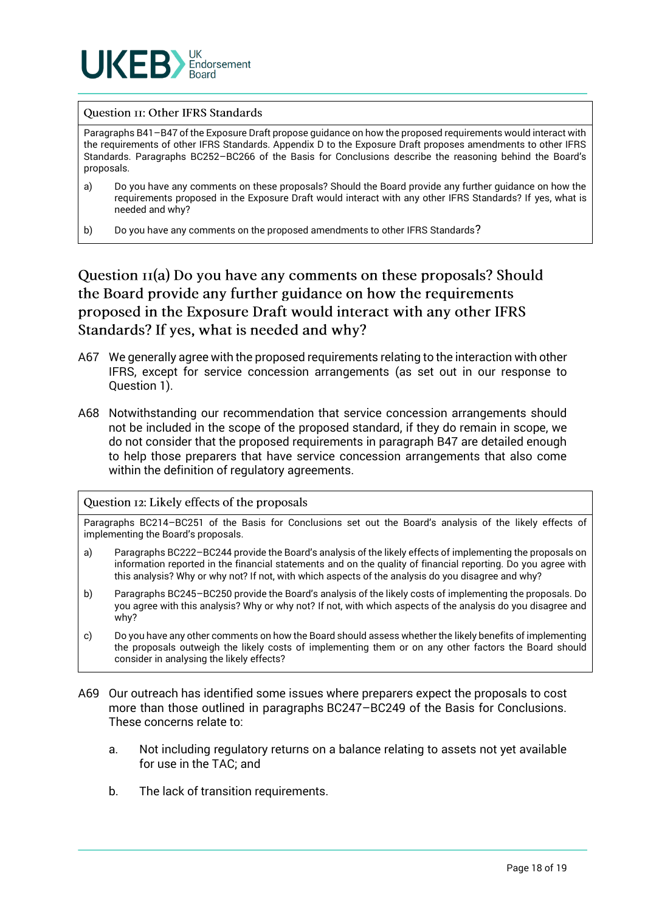

#### **Question II: Other IFRS Standards**

Paragraphs B41–B47 of the Exposure Draft propose guidance on how the proposed requirements would interact with the requirements of other IFRS Standards. Appendix D to the Exposure Draft proposes amendments to other IFRS Standards. Paragraphs BC252–BC266 of the Basis for Conclusions describe the reasoning behind the Board's proposals.

- a) Do you have any comments on these proposals? Should the Board provide any further guidance on how the requirements proposed in the Exposure Draft would interact with any other IFRS Standards? If yes, what is needed and why?
- b) Do you have any comments on the proposed amendments to other IFRS Standards?

Question  $\pi(a)$  Do you have any comments on these proposals? Should the Board provide any further guidance on how the requirements proposed in the Exposure Draft would interact with any other IFRS Standards? If yes, what is needed and why?

- A67 We generally agree with the proposed requirements relating to the interaction with other IFRS, except for service concession arrangements (as set out in our response to Question 1).
- A68 Notwithstanding our recommendation that service concession arrangements should not be included in the scope of the proposed standard, if they do remain in scope, we do not consider that the proposed requirements in paragraph B47 are detailed enough to help those preparers that have service concession arrangements that also come within the definition of regulatory agreements.

#### Question 12: Likely effects of the proposals

Paragraphs BC214–BC251 of the Basis for Conclusions set out the Board's analysis of the likely effects of implementing the Board's proposals.

- a) Paragraphs BC222–BC244 provide the Board's analysis of the likely effects of implementing the proposals on information reported in the financial statements and on the quality of financial reporting. Do you agree with this analysis? Why or why not? If not, with which aspects of the analysis do you disagree and why?
- b) Paragraphs BC245–BC250 provide the Board's analysis of the likely costs of implementing the proposals. Do you agree with this analysis? Why or why not? If not, with which aspects of the analysis do you disagree and why?
- c) Do you have any other comments on how the Board should assess whether the likely benefits of implementing the proposals outweigh the likely costs of implementing them or on any other factors the Board should consider in analysing the likely effects?
- A69 Our outreach has identified some issues where preparers expect the proposals to cost more than those outlined in paragraphs BC247–BC249 of the Basis for Conclusions. These concerns relate to:
	- a. Not including regulatory returns on a balance relating to assets not yet available for use in the TAC; and
	- b. The lack of transition requirements.